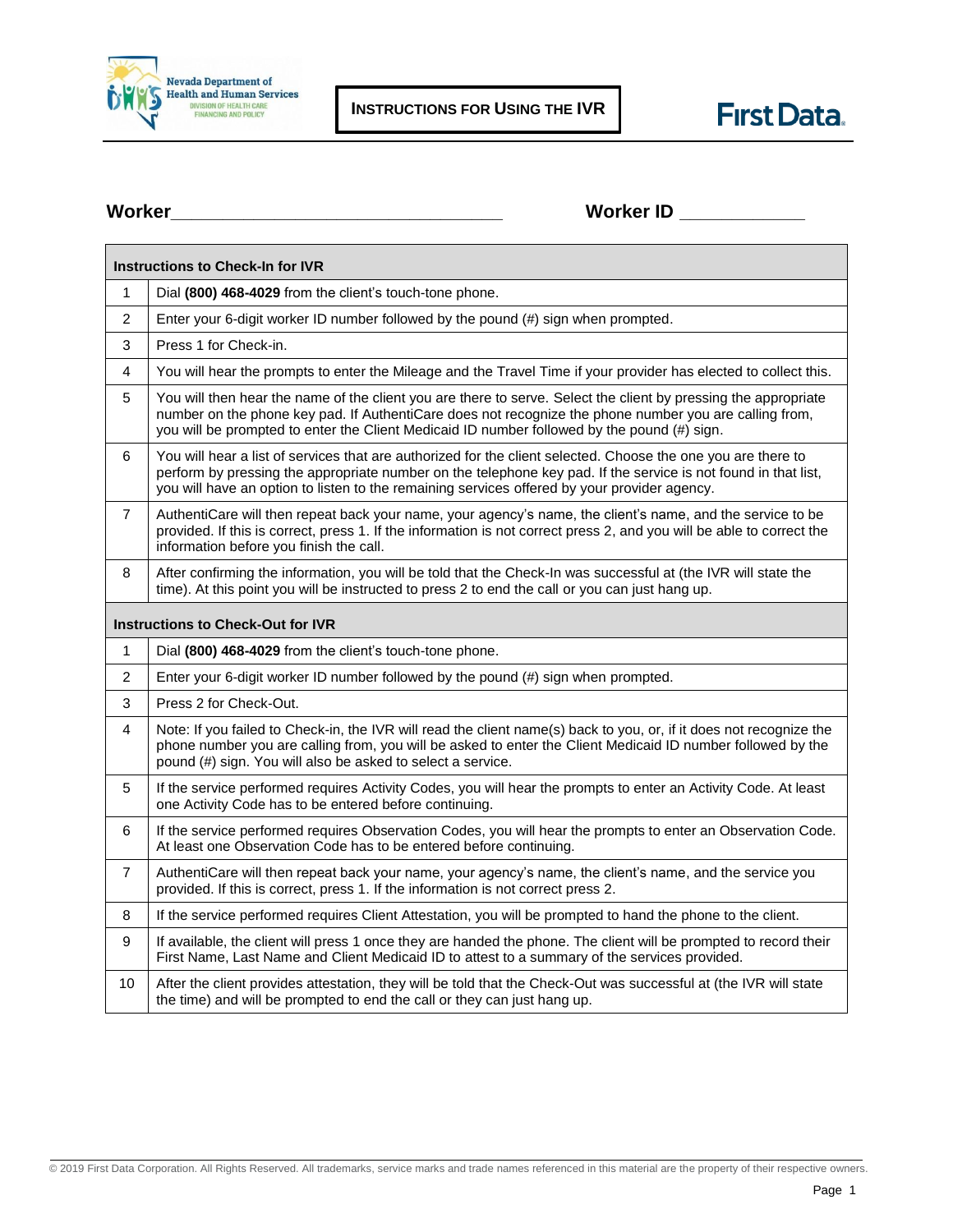



**Worker\_\_\_\_\_\_\_\_\_\_\_\_\_\_\_\_\_\_\_\_\_\_\_\_\_\_\_\_\_\_\_\_ Worker ID \_\_\_\_\_\_\_\_\_\_\_\_**

| <b>Instructions to Check-In for IVR</b>  |                                                                                                                                                                                                                                                                                                                                 |  |  |
|------------------------------------------|---------------------------------------------------------------------------------------------------------------------------------------------------------------------------------------------------------------------------------------------------------------------------------------------------------------------------------|--|--|
| $\mathbf{1}$                             | Dial (800) 468-4029 from the client's touch-tone phone.                                                                                                                                                                                                                                                                         |  |  |
| $\overline{2}$                           | Enter your 6-digit worker ID number followed by the pound (#) sign when prompted.                                                                                                                                                                                                                                               |  |  |
| 3                                        | Press 1 for Check-in.                                                                                                                                                                                                                                                                                                           |  |  |
| $\overline{\mathbf{4}}$                  | You will hear the prompts to enter the Mileage and the Travel Time if your provider has elected to collect this.                                                                                                                                                                                                                |  |  |
| 5                                        | You will then hear the name of the client you are there to serve. Select the client by pressing the appropriate<br>number on the phone key pad. If AuthentiCare does not recognize the phone number you are calling from,<br>you will be prompted to enter the Client Medicaid ID number followed by the pound (#) sign.        |  |  |
| 6                                        | You will hear a list of services that are authorized for the client selected. Choose the one you are there to<br>perform by pressing the appropriate number on the telephone key pad. If the service is not found in that list,<br>you will have an option to listen to the remaining services offered by your provider agency. |  |  |
| 7                                        | AuthentiCare will then repeat back your name, your agency's name, the client's name, and the service to be<br>provided. If this is correct, press 1. If the information is not correct press 2, and you will be able to correct the<br>information before you finish the call.                                                  |  |  |
| 8                                        | After confirming the information, you will be told that the Check-In was successful at (the IVR will state the<br>time). At this point you will be instructed to press 2 to end the call or you can just hang up.                                                                                                               |  |  |
| <b>Instructions to Check-Out for IVR</b> |                                                                                                                                                                                                                                                                                                                                 |  |  |
| $\mathbf{1}$                             | Dial (800) 468-4029 from the client's touch-tone phone.                                                                                                                                                                                                                                                                         |  |  |
| $\overline{2}$                           | Enter your 6-digit worker ID number followed by the pound (#) sign when prompted.                                                                                                                                                                                                                                               |  |  |
| 3                                        | Press 2 for Check-Out.                                                                                                                                                                                                                                                                                                          |  |  |
| 4                                        | Note: If you failed to Check-in, the IVR will read the client name(s) back to you, or, if it does not recognize the<br>phone number you are calling from, you will be asked to enter the Client Medicaid ID number followed by the<br>pound (#) sign. You will also be asked to select a service.                               |  |  |
| 5                                        | If the service performed requires Activity Codes, you will hear the prompts to enter an Activity Code. At least<br>one Activity Code has to be entered before continuing.                                                                                                                                                       |  |  |
| 6                                        | If the service performed requires Observation Codes, you will hear the prompts to enter an Observation Code.<br>At least one Observation Code has to be entered before continuing.                                                                                                                                              |  |  |
| 7                                        | AuthentiCare will then repeat back your name, your agency's name, the client's name, and the service you<br>provided. If this is correct, press 1. If the information is not correct press 2.                                                                                                                                   |  |  |
| 8                                        | If the service performed requires Client Attestation, you will be prompted to hand the phone to the client.                                                                                                                                                                                                                     |  |  |
| 9                                        | If available, the client will press 1 once they are handed the phone. The client will be prompted to record their<br>First Name, Last Name and Client Medicaid ID to attest to a summary of the services provided.                                                                                                              |  |  |
| 10                                       | After the client provides attestation, they will be told that the Check-Out was successful at (the IVR will state<br>the time) and will be prompted to end the call or they can just hang up.                                                                                                                                   |  |  |

© 2019 First Data Corporation. All Rights Reserved. All trademarks, service marks and trade names referenced in this material are the property of their respective owners.